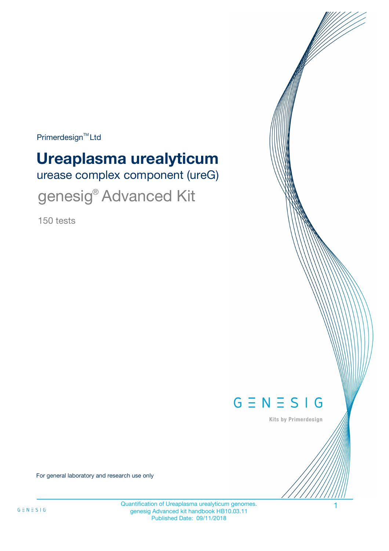$Primerdesign^{\text{TM}}$ Ltd

# **Ureaplasma urealyticum**

urease complex component (ureG)

genesig<sup>®</sup> Advanced Kit

150 tests



Kits by Primerdesign

For general laboratory and research use only

Quantification of Ureaplasma urealyticum genomes. genesig Advanced kit handbook HB10.03.11 Published Date: 09/11/2018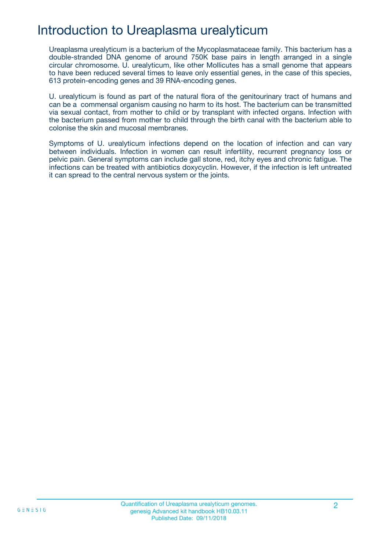### Introduction to Ureaplasma urealyticum

Ureaplasma urealyticum is a bacterium of the Mycoplasmataceae family. This bacterium has a double-stranded DNA genome of around 750K base pairs in length arranged in a single circular chromosome. U. urealyticum, like other Mollicutes has a small genome that appears to have been reduced several times to leave only essential genes, in the case of this species, 613 protein-encoding genes and 39 RNA-encoding genes.

U. urealyticum is found as part of the natural flora of the genitourinary tract of humans and can be a commensal organism causing no harm to its host. The bacterium can be transmitted via sexual contact, from mother to child or by transplant with infected organs. Infection with the bacterium passed from mother to child through the birth canal with the bacterium able to colonise the skin and mucosal membranes.

Symptoms of U. urealyticum infections depend on the location of infection and can vary between individuals. Infection in women can result infertility, recurrent pregnancy loss or pelvic pain. General symptoms can include gall stone, red, itchy eyes and chronic fatigue. The infections can be treated with antibiotics doxycyclin. However, if the infection is left untreated it can spread to the central nervous system or the joints.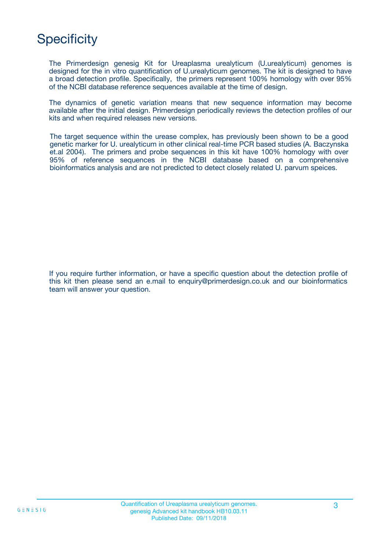## **Specificity**

The Primerdesign genesig Kit for Ureaplasma urealyticum (U.urealyticum) genomes is designed for the in vitro quantification of U.urealyticum genomes. The kit is designed to have a broad detection profile. Specifically, the primers represent 100% homology with over 95% of the NCBI database reference sequences available at the time of design.

The dynamics of genetic variation means that new sequence information may become available after the initial design. Primerdesign periodically reviews the detection profiles of our kits and when required releases new versions.

The target sequence within the urease complex, has previously been shown to be a good genetic marker for U. urealyticum in other clinical real-time PCR based studies (A. Baczynska et.al 2004). The primers and probe sequences in this kit have 100% homology with over 95% of reference sequences in the NCBI database based on a comprehensive bioinformatics analysis and are not predicted to detect closely related U. parvum speices.

If you require further information, or have a specific question about the detection profile of this kit then please send an e.mail to enquiry@primerdesign.co.uk and our bioinformatics team will answer your question.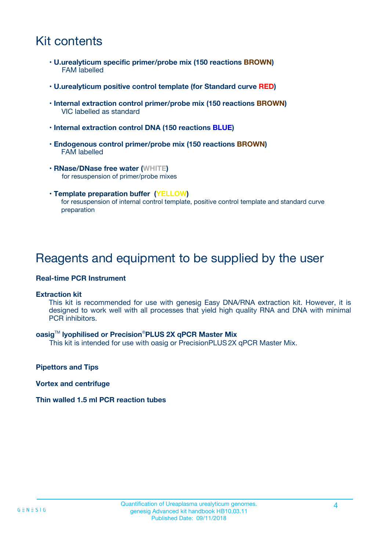### Kit contents

- **U.urealyticum specific primer/probe mix (150 reactions BROWN)** FAM labelled
- **U.urealyticum positive control template (for Standard curve RED)**
- **Internal extraction control primer/probe mix (150 reactions BROWN)** VIC labelled as standard
- **Internal extraction control DNA (150 reactions BLUE)**
- **Endogenous control primer/probe mix (150 reactions BROWN)** FAM labelled
- **RNase/DNase free water (WHITE)** for resuspension of primer/probe mixes
- **Template preparation buffer (YELLOW)** for resuspension of internal control template, positive control template and standard curve preparation

### Reagents and equipment to be supplied by the user

#### **Real-time PCR Instrument**

#### **Extraction kit**

This kit is recommended for use with genesig Easy DNA/RNA extraction kit. However, it is designed to work well with all processes that yield high quality RNA and DNA with minimal PCR inhibitors.

#### **oasig**TM **lyophilised or Precision**®**PLUS 2X qPCR Master Mix**

This kit is intended for use with oasig or PrecisionPLUS2X qPCR Master Mix.

**Pipettors and Tips**

**Vortex and centrifuge**

#### **Thin walled 1.5 ml PCR reaction tubes**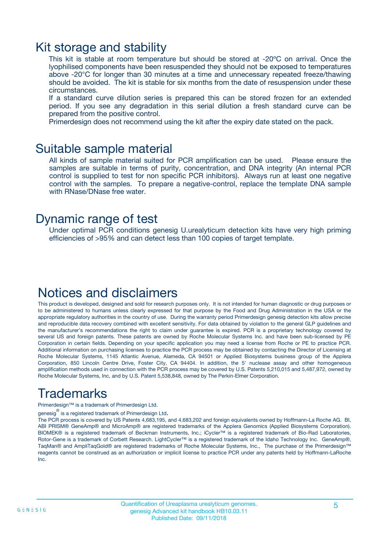### Kit storage and stability

This kit is stable at room temperature but should be stored at -20ºC on arrival. Once the lyophilised components have been resuspended they should not be exposed to temperatures above -20°C for longer than 30 minutes at a time and unnecessary repeated freeze/thawing should be avoided. The kit is stable for six months from the date of resuspension under these circumstances.

If a standard curve dilution series is prepared this can be stored frozen for an extended period. If you see any degradation in this serial dilution a fresh standard curve can be prepared from the positive control.

Primerdesign does not recommend using the kit after the expiry date stated on the pack.

### Suitable sample material

All kinds of sample material suited for PCR amplification can be used. Please ensure the samples are suitable in terms of purity, concentration, and DNA integrity (An internal PCR control is supplied to test for non specific PCR inhibitors). Always run at least one negative control with the samples. To prepare a negative-control, replace the template DNA sample with RNase/DNase free water.

### Dynamic range of test

Under optimal PCR conditions genesig U.urealyticum detection kits have very high priming efficiencies of >95% and can detect less than 100 copies of target template.

### Notices and disclaimers

This product is developed, designed and sold for research purposes only. It is not intended for human diagnostic or drug purposes or to be administered to humans unless clearly expressed for that purpose by the Food and Drug Administration in the USA or the appropriate regulatory authorities in the country of use. During the warranty period Primerdesign genesig detection kits allow precise and reproducible data recovery combined with excellent sensitivity. For data obtained by violation to the general GLP guidelines and the manufacturer's recommendations the right to claim under guarantee is expired. PCR is a proprietary technology covered by several US and foreign patents. These patents are owned by Roche Molecular Systems Inc. and have been sub-licensed by PE Corporation in certain fields. Depending on your specific application you may need a license from Roche or PE to practice PCR. Additional information on purchasing licenses to practice the PCR process may be obtained by contacting the Director of Licensing at Roche Molecular Systems, 1145 Atlantic Avenue, Alameda, CA 94501 or Applied Biosystems business group of the Applera Corporation, 850 Lincoln Centre Drive, Foster City, CA 94404. In addition, the 5' nuclease assay and other homogeneous amplification methods used in connection with the PCR process may be covered by U.S. Patents 5,210,015 and 5,487,972, owned by Roche Molecular Systems, Inc, and by U.S. Patent 5,538,848, owned by The Perkin-Elmer Corporation.

### Trademarks

Primerdesign™ is a trademark of Primerdesign Ltd.

genesig $^\circledR$  is a registered trademark of Primerdesign Ltd.

The PCR process is covered by US Patents 4,683,195, and 4,683,202 and foreign equivalents owned by Hoffmann-La Roche AG. BI, ABI PRISM® GeneAmp® and MicroAmp® are registered trademarks of the Applera Genomics (Applied Biosystems Corporation). BIOMEK® is a registered trademark of Beckman Instruments, Inc.; iCycler™ is a registered trademark of Bio-Rad Laboratories, Rotor-Gene is a trademark of Corbett Research. LightCycler™ is a registered trademark of the Idaho Technology Inc. GeneAmp®, TaqMan® and AmpliTaqGold® are registered trademarks of Roche Molecular Systems, Inc., The purchase of the Primerdesign™ reagents cannot be construed as an authorization or implicit license to practice PCR under any patents held by Hoffmann-LaRoche Inc.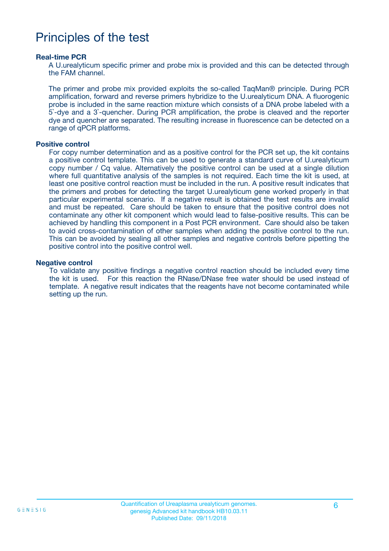### Principles of the test

#### **Real-time PCR**

A U.urealyticum specific primer and probe mix is provided and this can be detected through the FAM channel.

The primer and probe mix provided exploits the so-called TaqMan® principle. During PCR amplification, forward and reverse primers hybridize to the U.urealyticum DNA. A fluorogenic probe is included in the same reaction mixture which consists of a DNA probe labeled with a 5`-dye and a 3`-quencher. During PCR amplification, the probe is cleaved and the reporter dye and quencher are separated. The resulting increase in fluorescence can be detected on a range of qPCR platforms.

#### **Positive control**

For copy number determination and as a positive control for the PCR set up, the kit contains a positive control template. This can be used to generate a standard curve of U.urealyticum copy number / Cq value. Alternatively the positive control can be used at a single dilution where full quantitative analysis of the samples is not required. Each time the kit is used, at least one positive control reaction must be included in the run. A positive result indicates that the primers and probes for detecting the target U.urealyticum gene worked properly in that particular experimental scenario. If a negative result is obtained the test results are invalid and must be repeated. Care should be taken to ensure that the positive control does not contaminate any other kit component which would lead to false-positive results. This can be achieved by handling this component in a Post PCR environment. Care should also be taken to avoid cross-contamination of other samples when adding the positive control to the run. This can be avoided by sealing all other samples and negative controls before pipetting the positive control into the positive control well.

#### **Negative control**

To validate any positive findings a negative control reaction should be included every time the kit is used. For this reaction the RNase/DNase free water should be used instead of template. A negative result indicates that the reagents have not become contaminated while setting up the run.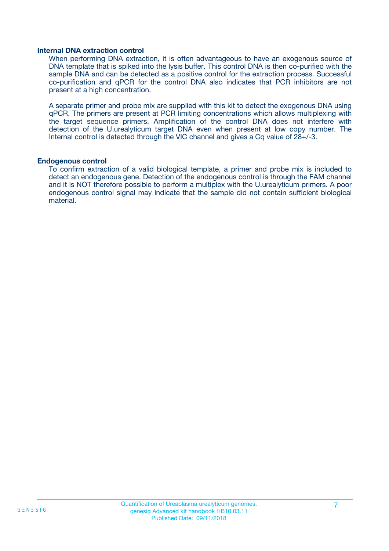#### **Internal DNA extraction control**

When performing DNA extraction, it is often advantageous to have an exogenous source of DNA template that is spiked into the lysis buffer. This control DNA is then co-purified with the sample DNA and can be detected as a positive control for the extraction process. Successful co-purification and qPCR for the control DNA also indicates that PCR inhibitors are not present at a high concentration.

A separate primer and probe mix are supplied with this kit to detect the exogenous DNA using qPCR. The primers are present at PCR limiting concentrations which allows multiplexing with the target sequence primers. Amplification of the control DNA does not interfere with detection of the U.urealyticum target DNA even when present at low copy number. The Internal control is detected through the VIC channel and gives a Cq value of 28+/-3.

#### **Endogenous control**

To confirm extraction of a valid biological template, a primer and probe mix is included to detect an endogenous gene. Detection of the endogenous control is through the FAM channel and it is NOT therefore possible to perform a multiplex with the U.urealyticum primers. A poor endogenous control signal may indicate that the sample did not contain sufficient biological material.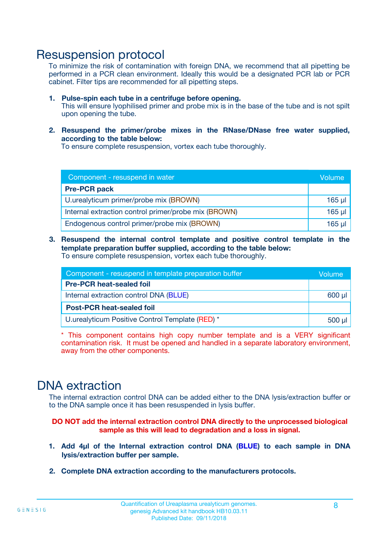### Resuspension protocol

To minimize the risk of contamination with foreign DNA, we recommend that all pipetting be performed in a PCR clean environment. Ideally this would be a designated PCR lab or PCR cabinet. Filter tips are recommended for all pipetting steps.

- **1. Pulse-spin each tube in a centrifuge before opening.** This will ensure lyophilised primer and probe mix is in the base of the tube and is not spilt upon opening the tube.
- **2. Resuspend the primer/probe mixes in the RNase/DNase free water supplied, according to the table below:**

To ensure complete resuspension, vortex each tube thoroughly.

| Component - resuspend in water                       |          |  |
|------------------------------------------------------|----------|--|
| <b>Pre-PCR pack</b>                                  |          |  |
| U.urealyticum primer/probe mix (BROWN)               | $165$ µl |  |
| Internal extraction control primer/probe mix (BROWN) | $165$ µl |  |
| Endogenous control primer/probe mix (BROWN)          | $165$ µl |  |

**3. Resuspend the internal control template and positive control template in the template preparation buffer supplied, according to the table below:** To ensure complete resuspension, vortex each tube thoroughly.

| Component - resuspend in template preparation buffer |  |  |  |
|------------------------------------------------------|--|--|--|
| <b>Pre-PCR heat-sealed foil</b>                      |  |  |  |
| Internal extraction control DNA (BLUE)               |  |  |  |
| <b>Post-PCR heat-sealed foil</b>                     |  |  |  |
| U.urealyticum Positive Control Template (RED) *      |  |  |  |

\* This component contains high copy number template and is a VERY significant contamination risk. It must be opened and handled in a separate laboratory environment, away from the other components.

### DNA extraction

The internal extraction control DNA can be added either to the DNA lysis/extraction buffer or to the DNA sample once it has been resuspended in lysis buffer.

**DO NOT add the internal extraction control DNA directly to the unprocessed biological sample as this will lead to degradation and a loss in signal.**

- **1. Add 4µl of the Internal extraction control DNA (BLUE) to each sample in DNA lysis/extraction buffer per sample.**
- **2. Complete DNA extraction according to the manufacturers protocols.**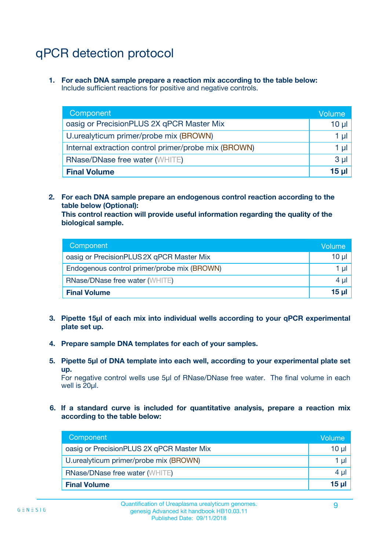# qPCR detection protocol

**1. For each DNA sample prepare a reaction mix according to the table below:** Include sufficient reactions for positive and negative controls.

| Component                                            | Volume   |
|------------------------------------------------------|----------|
| oasig or PrecisionPLUS 2X qPCR Master Mix            | 10 $\mu$ |
| U.urealyticum primer/probe mix (BROWN)               | 1 µl     |
| Internal extraction control primer/probe mix (BROWN) | 1 µl     |
| <b>RNase/DNase free water (WHITE)</b>                | $3 \mu$  |
| <b>Final Volume</b>                                  | 15 µl    |

**2. For each DNA sample prepare an endogenous control reaction according to the table below (Optional):**

**This control reaction will provide useful information regarding the quality of the biological sample.**

| Component                                   | Volume   |
|---------------------------------------------|----------|
| oasig or PrecisionPLUS 2X qPCR Master Mix   | $10 \mu$ |
| Endogenous control primer/probe mix (BROWN) | 1 µI     |
| <b>RNase/DNase free water (WHITE)</b>       | $4 \mu$  |
| <b>Final Volume</b>                         | 15 µl    |

- **3. Pipette 15µl of each mix into individual wells according to your qPCR experimental plate set up.**
- **4. Prepare sample DNA templates for each of your samples.**
- **5. Pipette 5µl of DNA template into each well, according to your experimental plate set up.**

For negative control wells use 5µl of RNase/DNase free water. The final volume in each well is 20ul.

**6. If a standard curve is included for quantitative analysis, prepare a reaction mix according to the table below:**

| Component                                 | Volume          |
|-------------------------------------------|-----------------|
| oasig or PrecisionPLUS 2X qPCR Master Mix | 10 $\mu$        |
| U.urealyticum primer/probe mix (BROWN)    | 1 µI I          |
| <b>RNase/DNase free water (WHITE)</b>     | $4 \mu$         |
| <b>Final Volume</b>                       | 15 <sub>µ</sub> |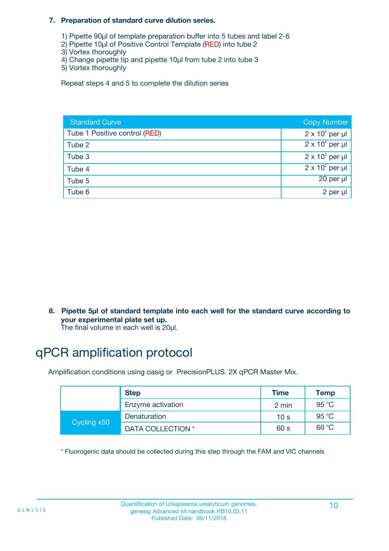#### **7. Preparation of standard curve dilution series.**

- 1) Pipette 90µl of template preparation buffer into 5 tubes and label 2-6
- 2) Pipette 10µl of Positive Control Template (RED) into tube 2
- 3) Vortex thoroughly
- 4) Change pipette tip and pipette 10µl from tube 2 into tube 3
- 5) Vortex thoroughly

Repeat steps 4 and 5 to complete the dilution series

| <b>Standard Curve</b>         | <b>Copy Number</b>     |
|-------------------------------|------------------------|
| Tube 1 Positive control (RED) | $2 \times 10^5$ per µl |
| Tube 2                        | $2 \times 10^4$ per µl |
| Tube 3                        | $2 \times 10^3$ per µl |
| Tube 4                        | $2 \times 10^2$ per µl |
| Tube 5                        | 20 per µl              |
| Tube 6                        | 2 per µl               |

**8. Pipette 5µl of standard template into each well for the standard curve according to your experimental plate set up.**

#### The final volume in each well is 20µl.

### qPCR amplification protocol

Amplification conditions using oasig or PrecisionPLUS 2X qPCR Master Mix.

|             | <b>Step</b>       | <b>Time</b>     | Temp    |
|-------------|-------------------|-----------------|---------|
|             | Enzyme activation | 2 min           | 95 °C   |
| Cycling x50 | Denaturation      | 10 <sub>s</sub> | 95 $°C$ |
|             | DATA COLLECTION * | 60 s            | 60 °C   |

\* Fluorogenic data should be collected during this step through the FAM and VIC channels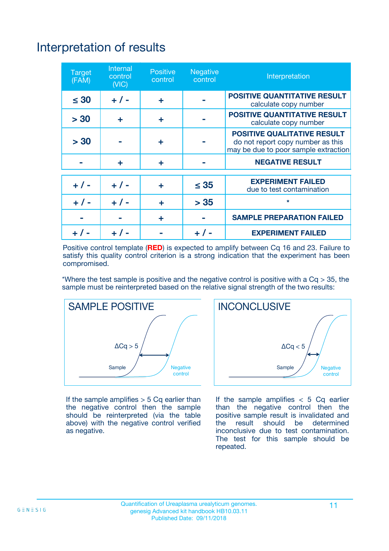# Interpretation of results

| <b>Target</b><br>(FAM) | <b>Internal</b><br>control<br>(NIC) | <b>Positive</b><br>control | <b>Negative</b><br>control | Interpretation                                                                                                  |
|------------------------|-------------------------------------|----------------------------|----------------------------|-----------------------------------------------------------------------------------------------------------------|
| $\leq 30$              | $+ 1 -$                             | ÷                          |                            | <b>POSITIVE QUANTITATIVE RESULT</b><br>calculate copy number                                                    |
| > 30                   | ٠                                   | ÷                          |                            | <b>POSITIVE QUANTITATIVE RESULT</b><br>calculate copy number                                                    |
| > 30                   |                                     | ÷                          |                            | <b>POSITIVE QUALITATIVE RESULT</b><br>do not report copy number as this<br>may be due to poor sample extraction |
|                        | ÷                                   | ÷                          |                            | <b>NEGATIVE RESULT</b>                                                                                          |
| $+ 1 -$                | $+ 1 -$                             | ÷                          | $\leq$ 35                  | <b>EXPERIMENT FAILED</b><br>due to test contamination                                                           |
| $+$ / -                | $+ 1 -$                             | ÷                          | > 35                       | $\star$                                                                                                         |
|                        |                                     | ÷                          |                            | <b>SAMPLE PREPARATION FAILED</b>                                                                                |
|                        |                                     |                            | $+$ /                      | <b>EXPERIMENT FAILED</b>                                                                                        |

Positive control template (**RED**) is expected to amplify between Cq 16 and 23. Failure to satisfy this quality control criterion is a strong indication that the experiment has been compromised.

\*Where the test sample is positive and the negative control is positive with a  $Ca > 35$ , the sample must be reinterpreted based on the relative signal strength of the two results:



If the sample amplifies  $> 5$  Cq earlier than the negative control then the sample should be reinterpreted (via the table above) with the negative control verified as negative.



If the sample amplifies  $< 5$  Cq earlier than the negative control then the positive sample result is invalidated and<br>the result should be determined  $the$  result should be inconclusive due to test contamination. The test for this sample should be repeated.